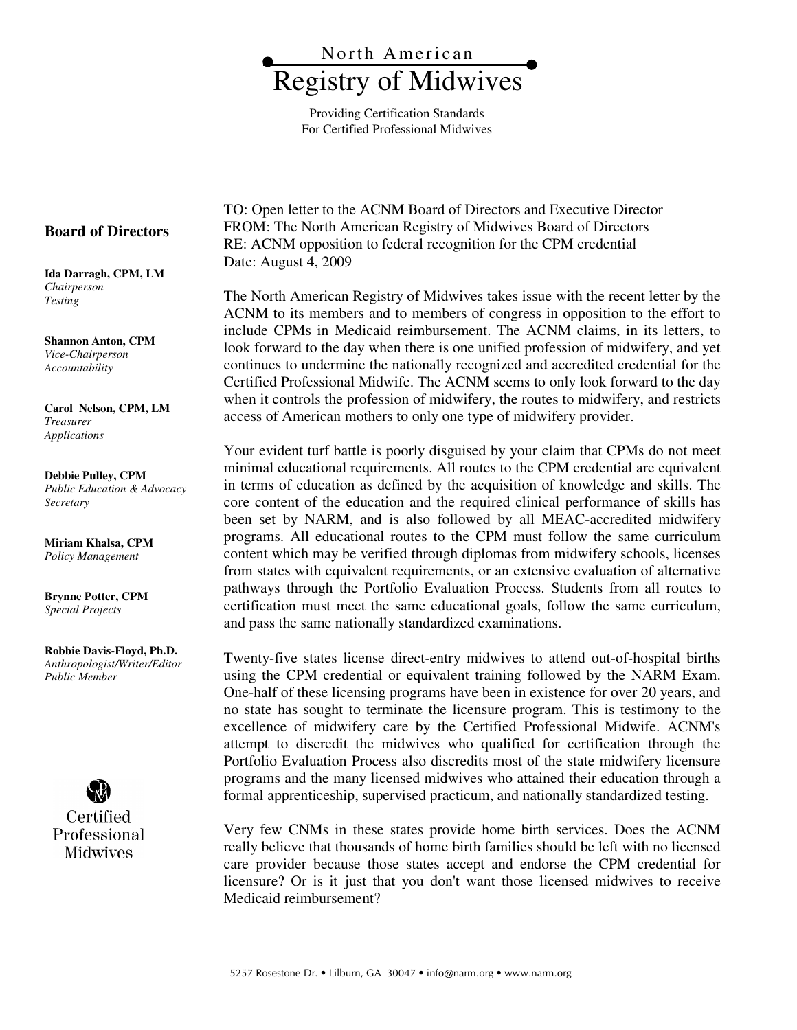

Providing Certification Standards For Certified Professional Midwives

**Board of Directors** 

**Ida Darragh, CPM, LM**  *Chairperson Testing*

**Shannon Anton, CPM**  *Vice-Chairperson Accountability* 

**Carol Nelson, CPM, LM** *Treasurer Applications*

**Debbie Pulley, CPM**  *Public Education & Advocacy Secretary* 

**Miriam Khalsa, CPM**  *Policy Management* 

**Brynne Potter, CPM**  *Special Projects* 

**Robbie Davis-Floyd, Ph.D.**  *Anthropologist/Writer/Editor Public Member* 



TO: Open letter to the ACNM Board of Directors and Executive Director FROM: The North American Registry of Midwives Board of Directors RE: ACNM opposition to federal recognition for the CPM credential Date: August 4, 2009

The North American Registry of Midwives takes issue with the recent letter by the ACNM to its members and to members of congress in opposition to the effort to include CPMs in Medicaid reimbursement. The ACNM claims, in its letters, to look forward to the day when there is one unified profession of midwifery, and yet continues to undermine the nationally recognized and accredited credential for the Certified Professional Midwife. The ACNM seems to only look forward to the day when it controls the profession of midwifery, the routes to midwifery, and restricts access of American mothers to only one type of midwifery provider.

Your evident turf battle is poorly disguised by your claim that CPMs do not meet minimal educational requirements. All routes to the CPM credential are equivalent in terms of education as defined by the acquisition of knowledge and skills. The core content of the education and the required clinical performance of skills has been set by NARM, and is also followed by all MEAC-accredited midwifery programs. All educational routes to the CPM must follow the same curriculum content which may be verified through diplomas from midwifery schools, licenses from states with equivalent requirements, or an extensive evaluation of alternative pathways through the Portfolio Evaluation Process. Students from all routes to certification must meet the same educational goals, follow the same curriculum, and pass the same nationally standardized examinations.

Twenty-five states license direct-entry midwives to attend out-of-hospital births using the CPM credential or equivalent training followed by the NARM Exam. One-half of these licensing programs have been in existence for over 20 years, and no state has sought to terminate the licensure program. This is testimony to the excellence of midwifery care by the Certified Professional Midwife. ACNM's attempt to discredit the midwives who qualified for certification through the Portfolio Evaluation Process also discredits most of the state midwifery licensure programs and the many licensed midwives who attained their education through a formal apprenticeship, supervised practicum, and nationally standardized testing.

Very few CNMs in these states provide home birth services. Does the ACNM really believe that thousands of home birth families should be left with no licensed care provider because those states accept and endorse the CPM credential for licensure? Or is it just that you don't want those licensed midwives to receive Medicaid reimbursement?